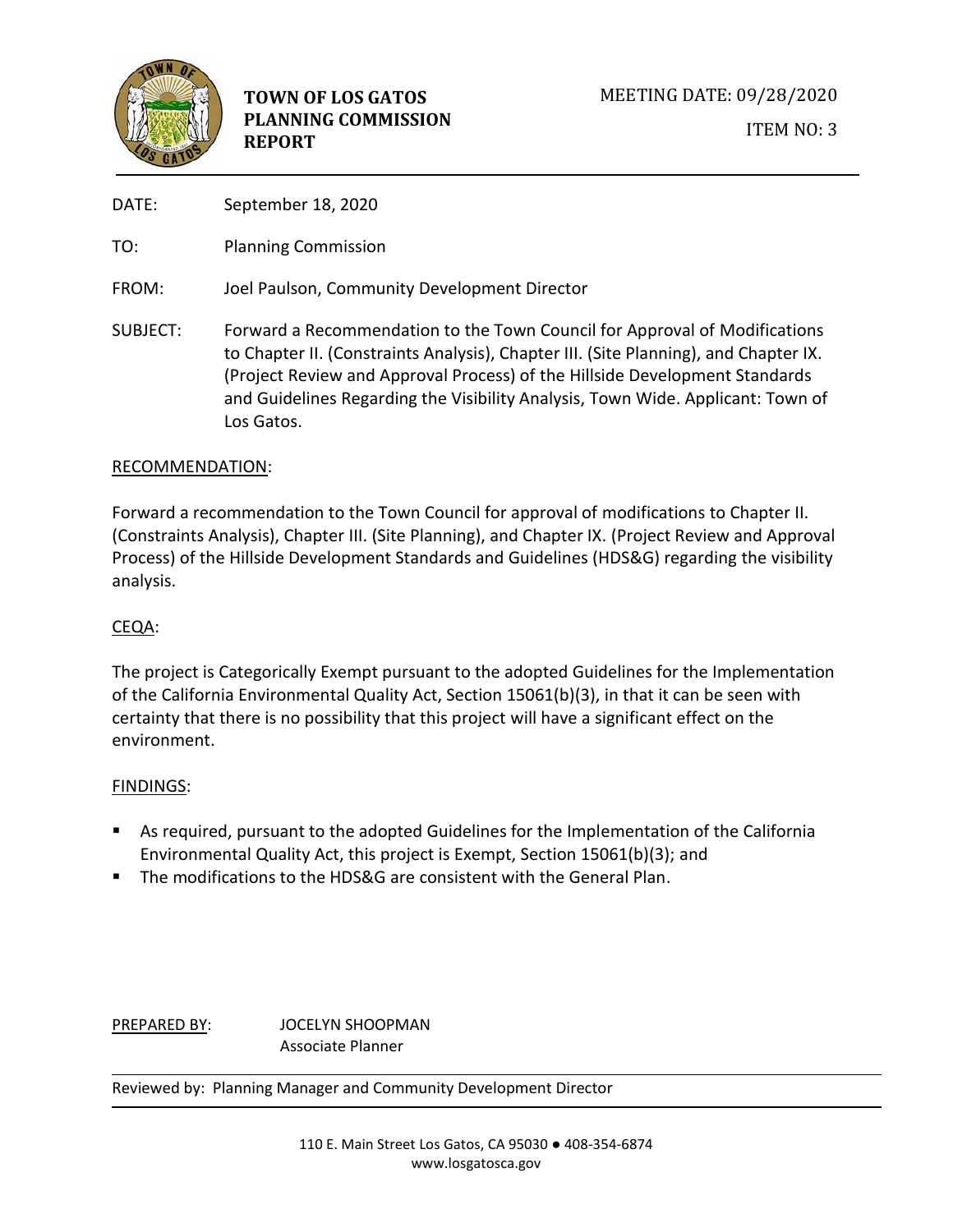

DATE: September 18, 2020

TO: Planning Commission

FROM: Joel Paulson, Community Development Director

SUBJECT: Forward a Recommendation to the Town Council for Approval of Modifications to Chapter II. (Constraints Analysis), Chapter III. (Site Planning), and Chapter IX. (Project Review and Approval Process) of the Hillside Development Standards and Guidelines Regarding the Visibility Analysis, Town Wide. Applicant: Town of Los Gatos.

# RECOMMENDATION:

Forward a recommendation to the Town Council for approval of modifications to Chapter II. (Constraints Analysis), Chapter III. (Site Planning), and Chapter IX. (Project Review and Approval Process) of the Hillside Development Standards and Guidelines (HDS&G) regarding the visibility analysis.

# CEQA:

The project is Categorically Exempt pursuant to the adopted Guidelines for the Implementation of the California Environmental Quality Act, Section 15061(b)(3), in that it can be seen with certainty that there is no possibility that this project will have a significant effect on the environment.

## FINDINGS:

- As required, pursuant to the adopted Guidelines for the Implementation of the California Environmental Quality Act, this project is Exempt, Section 15061(b)(3); and
- The modifications to the HDS&G are consistent with the General Plan.

PREPARED BY: JOCELYN SHOOPMAN Associate Planner

Reviewed by: Planning Manager and Community Development Director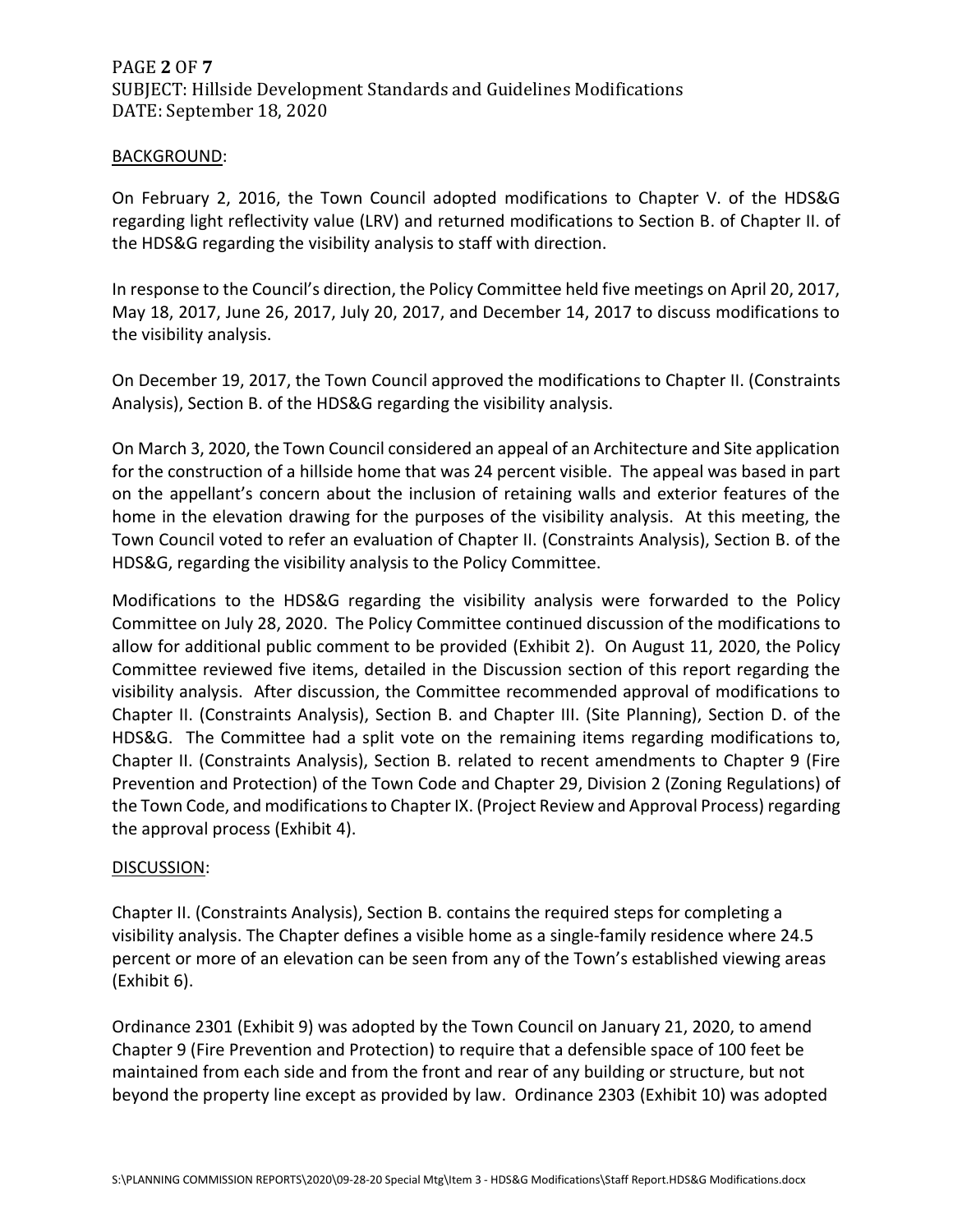# PAGE **2** OF **7** SUBJECT: Hillside Development Standards and Guidelines Modifications DATE: September 18, 2020

#### BACKGROUND:

On February 2, 2016, the Town Council adopted modifications to Chapter V. of the HDS&G regarding light reflectivity value (LRV) and returned modifications to Section B. of Chapter II. of the HDS&G regarding the visibility analysis to staff with direction.

In response to the Council's direction, the Policy Committee held five meetings on April 20, 2017, May 18, 2017, June 26, 2017, July 20, 2017, and December 14, 2017 to discuss modifications to the visibility analysis.

On December 19, 2017, the Town Council approved the modifications to Chapter II. (Constraints Analysis), Section B. of the HDS&G regarding the visibility analysis.

On March 3, 2020, the Town Council considered an appeal of an Architecture and Site application for the construction of a hillside home that was 24 percent visible. The appeal was based in part on the appellant's concern about the inclusion of retaining walls and exterior features of the home in the elevation drawing for the purposes of the visibility analysis. At this meeting, the Town Council voted to refer an evaluation of Chapter II. (Constraints Analysis), Section B. of the HDS&G, regarding the visibility analysis to the Policy Committee.

Modifications to the HDS&G regarding the visibility analysis were forwarded to the Policy Committee on July 28, 2020. The Policy Committee continued discussion of the modifications to allow for additional public comment to be provided (Exhibit 2). On August 11, 2020, the Policy Committee reviewed five items, detailed in the Discussion section of this report regarding the visibility analysis. After discussion, the Committee recommended approval of modifications to Chapter II. (Constraints Analysis), Section B. and Chapter III. (Site Planning), Section D. of the HDS&G. The Committee had a split vote on the remaining items regarding modifications to, Chapter II. (Constraints Analysis), Section B. related to recent amendments to Chapter 9 (Fire Prevention and Protection) of the Town Code and Chapter 29, Division 2 (Zoning Regulations) of the Town Code, and modifications to Chapter IX. (Project Review and Approval Process) regarding the approval process (Exhibit 4).

## DISCUSSION:

Chapter II. (Constraints Analysis), Section B. contains the required steps for completing a visibility analysis. The Chapter defines a visible home as a single-family residence where 24.5 percent or more of an elevation can be seen from any of the Town's established viewing areas (Exhibit 6).

Ordinance 2301 (Exhibit 9) was adopted by the Town Council on January 21, 2020, to amend Chapter 9 (Fire Prevention and Protection) to require that a defensible space of 100 feet be maintained from each side and from the front and rear of any building or structure, but not beyond the property line except as provided by law. Ordinance 2303 (Exhibit 10) was adopted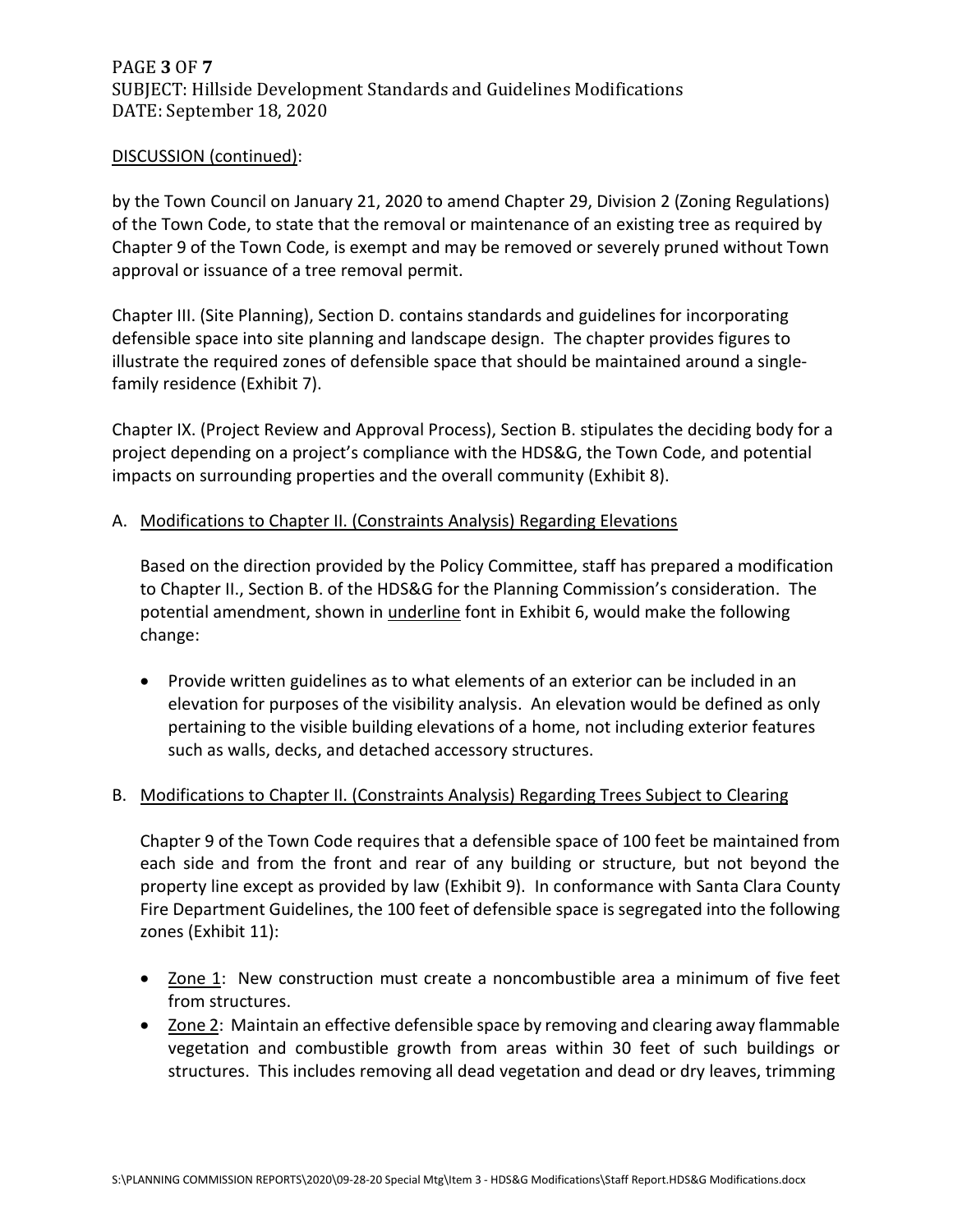# PAGE **3** OF **7** SUBJECT: Hillside Development Standards and Guidelines Modifications DATE: September 18, 2020

## DISCUSSION (continued):

by the Town Council on January 21, 2020 to amend Chapter 29, Division 2 (Zoning Regulations) of the Town Code, to state that the removal or maintenance of an existing tree as required by Chapter 9 of the Town Code, is exempt and may be removed or severely pruned without Town approval or issuance of a tree removal permit.

Chapter III. (Site Planning), Section D. contains standards and guidelines for incorporating defensible space into site planning and landscape design. The chapter provides figures to illustrate the required zones of defensible space that should be maintained around a singlefamily residence (Exhibit 7).

Chapter IX. (Project Review and Approval Process), Section B. stipulates the deciding body for a project depending on a project's compliance with the HDS&G, the Town Code, and potential impacts on surrounding properties and the overall community (Exhibit 8).

## A. Modifications to Chapter II. (Constraints Analysis) Regarding Elevations

Based on the direction provided by the Policy Committee, staff has prepared a modification to Chapter II., Section B. of the HDS&G for the Planning Commission's consideration. The potential amendment, shown in *underline* font in Exhibit 6, would make the following change:

• Provide written guidelines as to what elements of an exterior can be included in an elevation for purposes of the visibility analysis. An elevation would be defined as only pertaining to the visible building elevations of a home, not including exterior features such as walls, decks, and detached accessory structures.

# B. Modifications to Chapter II. (Constraints Analysis) Regarding Trees Subject to Clearing

Chapter 9 of the Town Code requires that a defensible space of 100 feet be maintained from each side and from the front and rear of any building or structure, but not beyond the property line except as provided by law (Exhibit 9). In conformance with Santa Clara County Fire Department Guidelines, the 100 feet of defensible space is segregated into the following zones (Exhibit 11):

- Zone 1: New construction must create a noncombustible area a minimum of five feet from structures.
- Zone 2: Maintain an effective defensible space by removing and clearing away flammable vegetation and combustible growth from areas within 30 feet of such buildings or structures. This includes removing all dead vegetation and dead or dry leaves, trimming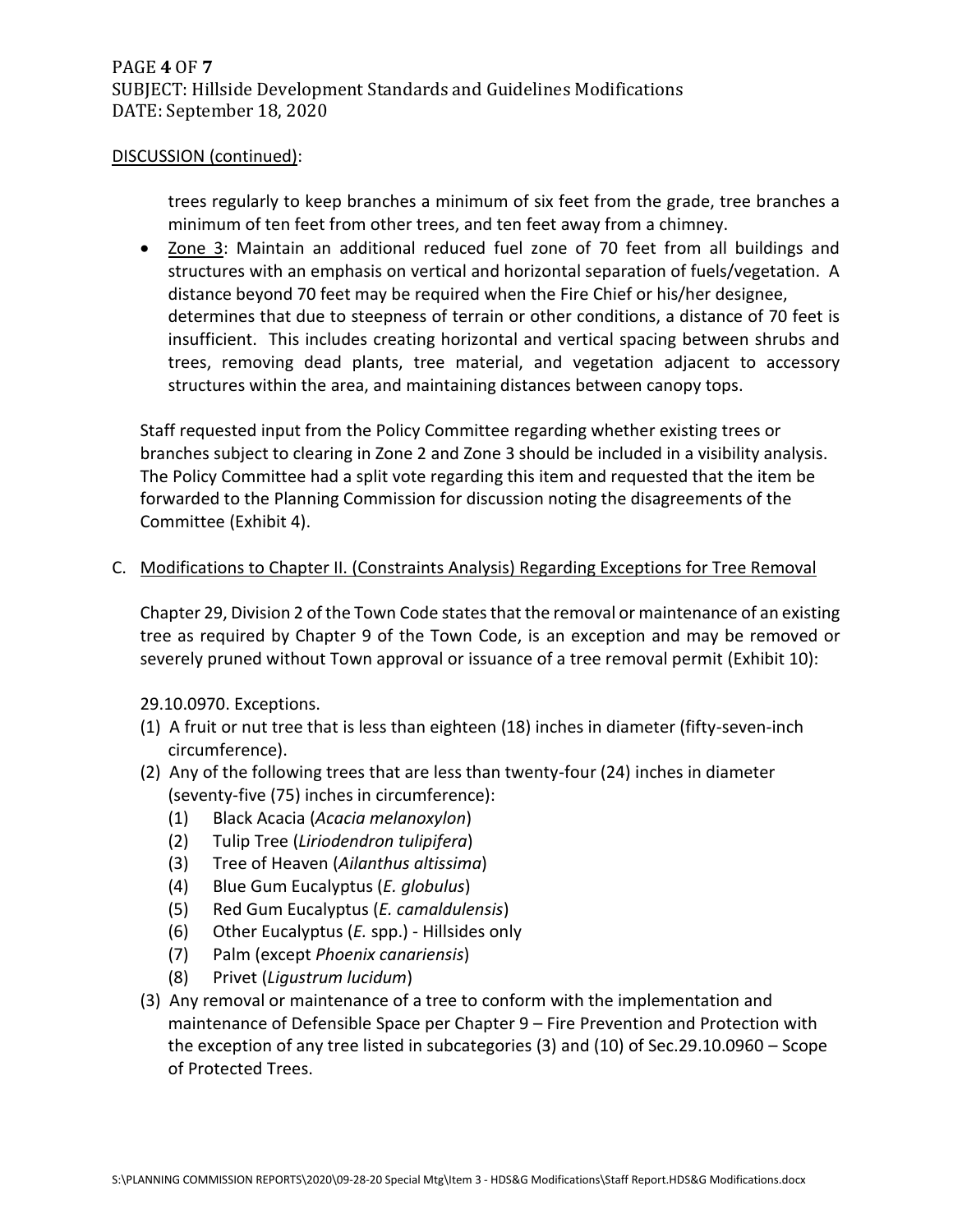## DISCUSSION (continued):

trees regularly to keep branches a minimum of six feet from the grade, tree branches a minimum of ten feet from other trees, and ten feet away from a chimney.

• Zone 3: Maintain an additional reduced fuel zone of 70 feet from all buildings and structures with an emphasis on vertical and horizontal separation of fuels/vegetation. A distance beyond 70 feet may be required when the Fire Chief or his/her designee, determines that due to steepness of terrain or other conditions, a distance of 70 feet is insufficient. This includes creating horizontal and vertical spacing between shrubs and trees, removing dead plants, tree material, and vegetation adjacent to accessory structures within the area, and maintaining distances between canopy tops.

Staff requested input from the Policy Committee regarding whether existing trees or branches subject to clearing in Zone 2 and Zone 3 should be included in a visibility analysis. The Policy Committee had a split vote regarding this item and requested that the item be forwarded to the Planning Commission for discussion noting the disagreements of the Committee (Exhibit 4).

## C. Modifications to Chapter II. (Constraints Analysis) Regarding Exceptions for Tree Removal

Chapter 29, Division 2 of the Town Code states that the removal or maintenance of an existing tree as required by Chapter 9 of the Town Code, is an exception and may be removed or severely pruned without Town approval or issuance of a tree removal permit (Exhibit 10):

29.10.0970. Exceptions.

- (1) A fruit or nut tree that is less than eighteen (18) inches in diameter (fifty-seven-inch circumference).
- (2) Any of the following trees that are less than twenty-four (24) inches in diameter (seventy-five (75) inches in circumference):
	- (1) Black Acacia (*Acacia melanoxylon*)
	- (2) Tulip Tree (*Liriodendron tulipifera*)
	- (3) Tree of Heaven (*Ailanthus altissima*)
	- (4) Blue Gum Eucalyptus (*E. globulus*)
	- (5) Red Gum Eucalyptus (*E. camaldulensis*)
	- (6) Other Eucalyptus (*E.* spp.) Hillsides only
	- (7) Palm (except *Phoenix canariensis*)
	- (8) Privet (*Ligustrum lucidum*)
- (3) Any removal or maintenance of a tree to conform with the implementation and maintenance of Defensible Space per Chapter 9 – Fire Prevention and Protection with the exception of any tree listed in subcategories (3) and (10) of Sec.29.10.0960 – Scope of Protected Trees.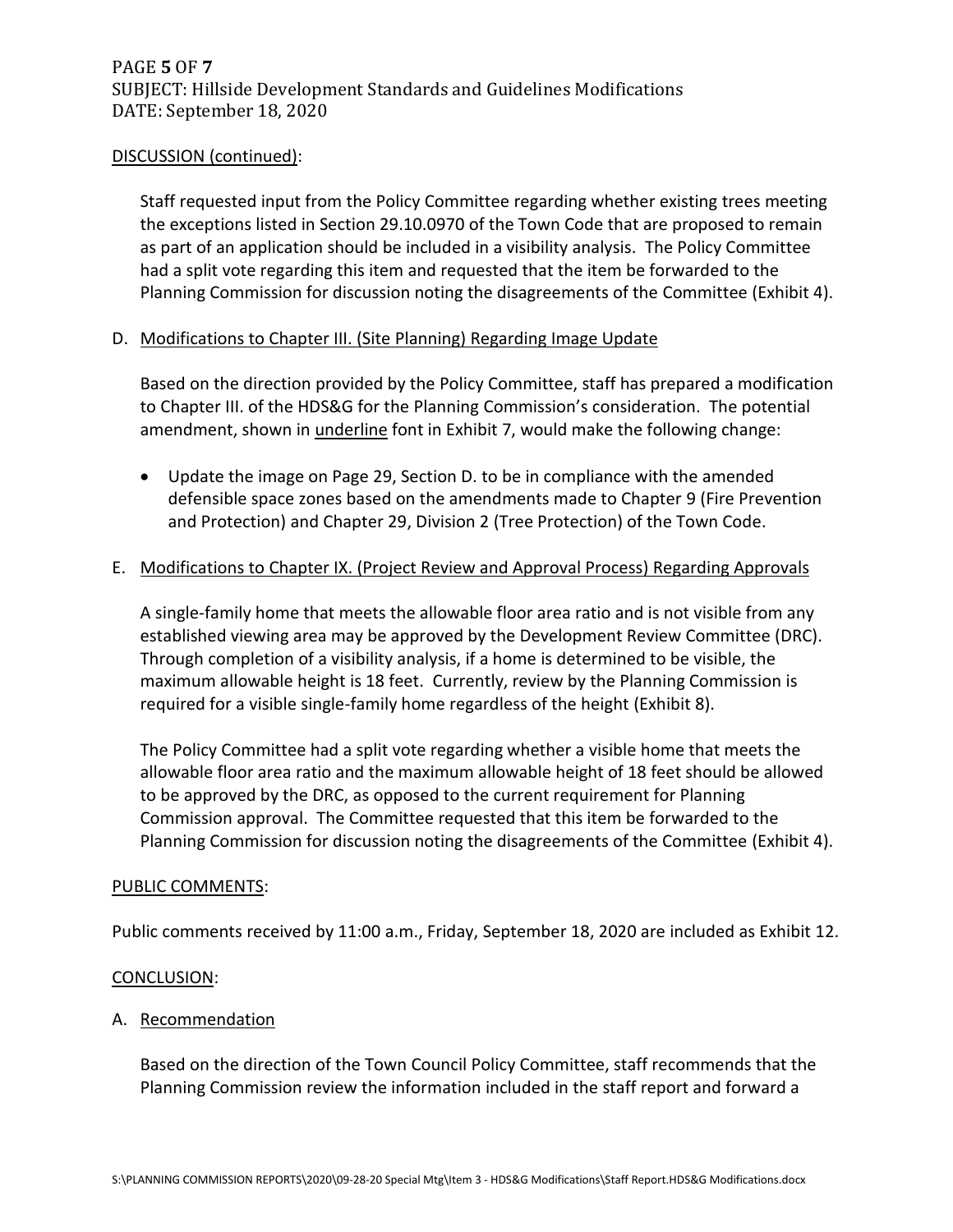## DISCUSSION (continued):

Staff requested input from the Policy Committee regarding whether existing trees meeting the exceptions listed in Section 29.10.0970 of the Town Code that are proposed to remain as part of an application should be included in a visibility analysis. The Policy Committee had a split vote regarding this item and requested that the item be forwarded to the Planning Commission for discussion noting the disagreements of the Committee (Exhibit 4).

## D. Modifications to Chapter III. (Site Planning) Regarding Image Update

Based on the direction provided by the Policy Committee, staff has prepared a modification to Chapter III. of the HDS&G for the Planning Commission's consideration. The potential amendment, shown in *underline* font in Exhibit 7, would make the following change:

• Update the image on Page 29, Section D. to be in compliance with the amended defensible space zones based on the amendments made to Chapter 9 (Fire Prevention and Protection) and Chapter 29, Division 2 (Tree Protection) of the Town Code.

## E. Modifications to Chapter IX. (Project Review and Approval Process) Regarding Approvals

A single-family home that meets the allowable floor area ratio and is not visible from any established viewing area may be approved by the Development Review Committee (DRC). Through completion of a visibility analysis, if a home is determined to be visible, the maximum allowable height is 18 feet. Currently, review by the Planning Commission is required for a visible single-family home regardless of the height (Exhibit 8).

The Policy Committee had a split vote regarding whether a visible home that meets the allowable floor area ratio and the maximum allowable height of 18 feet should be allowed to be approved by the DRC, as opposed to the current requirement for Planning Commission approval. The Committee requested that this item be forwarded to the Planning Commission for discussion noting the disagreements of the Committee (Exhibit 4).

## PUBLIC COMMENTS:

Public comments received by 11:00 a.m., Friday, September 18, 2020 are included as Exhibit 12.

#### CONCLUSION:

## A. Recommendation

Based on the direction of the Town Council Policy Committee, staff recommends that the Planning Commission review the information included in the staff report and forward a